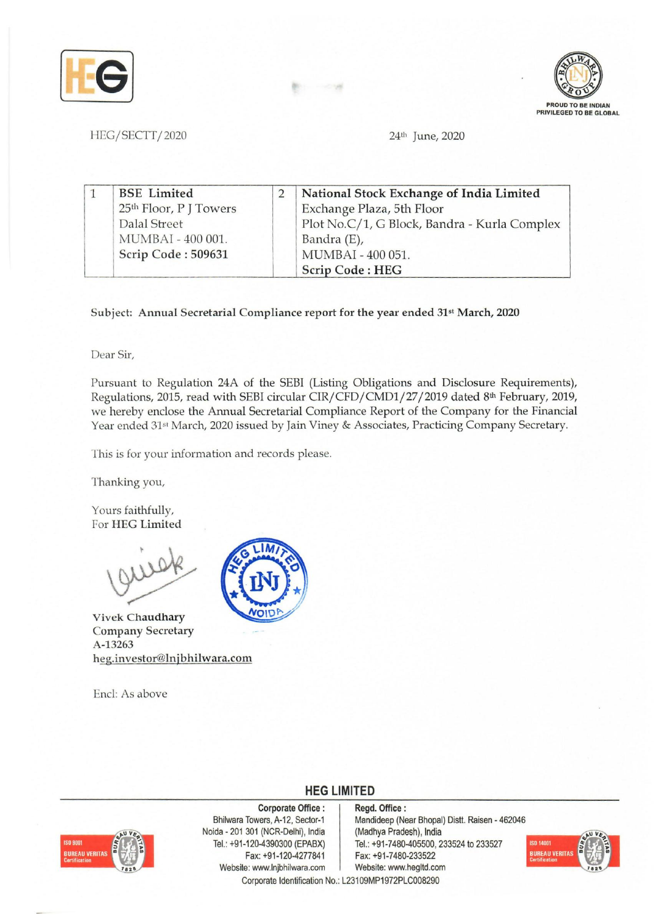



HEG/SECTT/2020 24<sup>th</sup> June, 2020

| <b>BSE</b> Limited                 | National Stock Exchange of India Limited     |
|------------------------------------|----------------------------------------------|
| 25 <sup>th</sup> Floor, P J Towers | Exchange Plaza, 5th Floor                    |
| Dalal Street                       | Plot No.C/1, G Block, Bandra - Kurla Complex |
| MUMBAI - 400 001.                  | Bandra (E),                                  |
| Scrip Code: 509631                 | MUMBAI - 400 051.                            |
|                                    | Scrip Code: HEG                              |

Subject: Annual Secretarial Compliance report for the year ended 31st March, 2020

Dear Sir,

Pursuant to Regulation *24A* of the SEB! (Listing Obligations and Disclosure Requirements), Regulations, 2015, read with SEBI circular CIR/CFD/CMDI/27/2019 dated 8th February, 2019, we hereby enclose the Annual Secretarial Compliance Report of the Company for the Financial Year ended 31<sup>st</sup> March, 2020 issued by Jain Viney & Associates, Practicing Company Secretary.

This is for your information and records please.

Thanking you,

Yours faithfully, For HEG Limited

Vivek Chaudhary Company Secretary A-13263 heg.investor@lnjbhilwara.com

End: As above



**HEG LIMITED** 



Corporate Office: Bhilwara Towers, A-12, Sector-1 Noida - 201 301 (NCR-Delhi), India Tel.: +91-120-4390300 (EPABX) Fax: +91-120-4277841 Website: www.lnjbhilwara.com | Website: www.hegltd.com Corporate Identification No.: L23109MP1972PLC008290

Regd. Office: Mandideep (Near Bhopal) Distt. Raisen - 462046 (Madhya Pradesh), India Tel.: +91-7480-405500, 233524 to 233527 Fax: +91-7480-233522

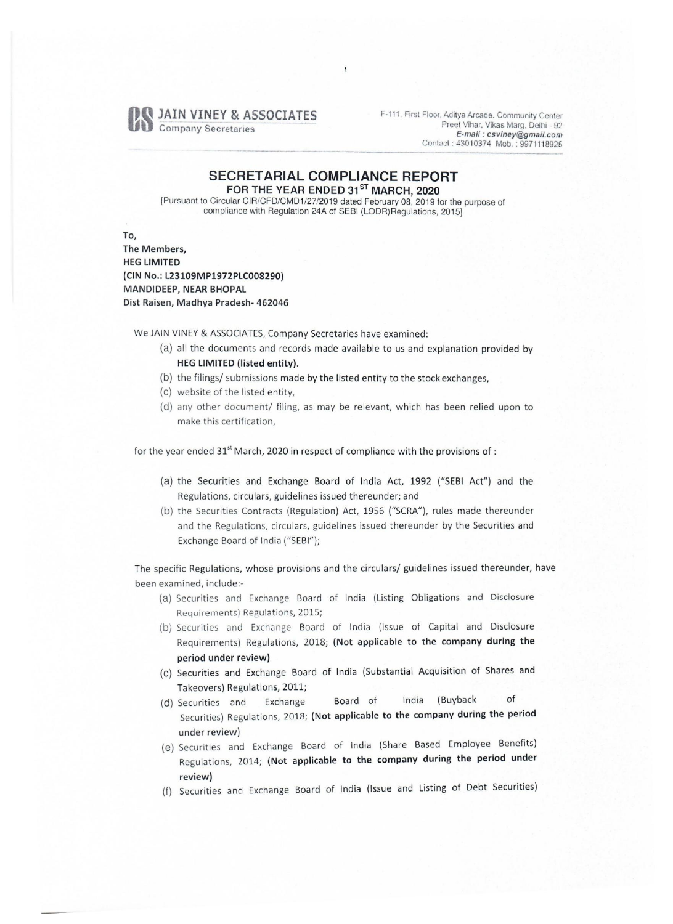

F-111. First Floor, Aditya Arcade. Community Center Preet Villar. Vikas Marg, Delhi - 92 *E-mail: csviney@gmail.com*  Contact: 43010374 MOb.: 9971118925 E-mail: csviney@gmail.com<br>Contact: 43010374 Mob.: 9971118925<br>Contact: 43010374 Mob.: 9971118925

## **SECRETARIAL COMPLIANCE REPORT**  FOR THE YEAR ENDED 31<sup>ST</sup> MARCH, 2020

 $\overline{\phantom{a}}$ 

[Pursuant to Circular *CIR/CFD/CMD1/27/2019* dated February 08,2019 for the purpose of compliance with Regulation 24A of SEBI (LODR)Regulations, 2015]

To, The Members, HEG LIMITED (CIN No.: L23109MP1972PLC008290) MANDIDEEP, NEAR BHOPAL Dist Raisen, Madhya Pradesh- 462046

We JAIN VINEY & ASSOCIATES, Company Secretaries have examined:

- (a) all the documents and records made available to us and explanation provided by HEG LIMITED (listed entity).
- (b) the filings/ submissions made by the listed entity to the stock exchanges,
- (c) website of the listed entity,
- (d) any other document/ filing, as may be relevant, which has been relied upon to make this certification,

for the year ended 31<sup>st</sup> March, 2020 in respect of compliance with the provisions of :

- (a) the Securities and Exchange Board of India Act, 1992 ("SEBI Act") and the Regulations, circulars, guidelines issued thereunder; and
- (b) the Securities Contracts (Regulation) Act, 1956 ("SCRA"), rules made thereunder and the Regulations, circulars, guidelines issued thereunder by the Securities and Exchange Board of India ("SEBI");

The specific Regulations, whose provisions and the circulars/ guidelines issued thereunder, have been examined, include:-

- (a) Securities and Exchange Board of India (Listing Obligations and Disclosure Requirements) Regulations, 2015;
- (b) Securities and Exchange Board of India (Issue of Capital and Disclosure Requirements) Regulations, 2018; (Not applicable to the company during the period under review)
- (c) Securities and Exchange Board of India (Substantial Acquisition of Shares and Takeovers) Regulations, 2011;
- (d) Securities and Exchange Board of India (Buyback of Securities) Regulations, 2018; (Not applicable to the company during the period under review)
- (e) Securities and Exchange Board of India (Share Based Employee Benefits) Regulations, 2014; (Not applicable to the company during the period under review)
- (f) Securities and Exchange Board of India (Issue and Listing of Debt Securities)